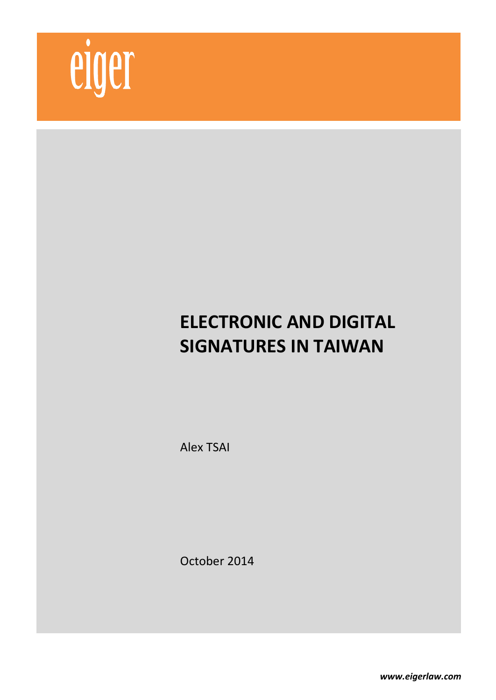

# **ELECTRONIC AND DIGITAL SIGNATURES IN TAIWAN**

Alex TSAI

October 2014

*www.eigerlaw.com*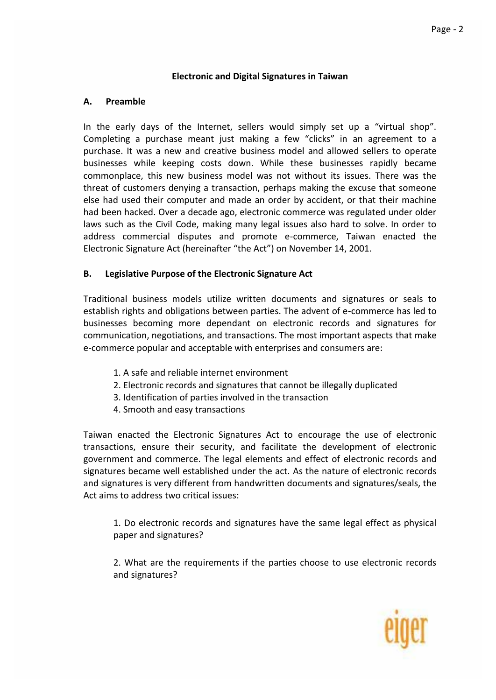#### **Electronic and Digital Signatures in Taiwan**

#### **A. Preamble**

In the early days of the Internet, sellers would simply set up a "virtual shop". Completing a purchase meant just making a few "clicks" in an agreement to a purchase. It was a new and creative business model and allowed sellers to operate businesses while keeping costs down. While these businesses rapidly became commonplace, this new business model was not without its issues. There was the threat of customers denying a transaction, perhaps making the excuse that someone else had used their computer and made an order by accident, or that their machine had been hacked. Over a decade ago, electronic commerce was regulated under older laws such as the Civil Code, making many legal issues also hard to solve. In order to address commercial disputes and promote e-commerce, Taiwan enacted the Electronic Signature Act (hereinafter "the Act") on November 14, 2001.

## **B. Legislative Purpose of the Electronic Signature Act**

Traditional business models utilize written documents and signatures or seals to establish rights and obligations between parties. The advent of e-commerce has led to businesses becoming more dependant on electronic records and signatures for communication, negotiations, and transactions. The most important aspects that make e-commerce popular and acceptable with enterprises and consumers are:

- 1. A safe and reliable internet environment
- 2. Electronic records and signatures that cannot be illegally duplicated
- 3. Identification of parties involved in the transaction
- 4. Smooth and easy transactions

Taiwan enacted the Electronic Signatures Act to encourage the use of electronic transactions, ensure their security, and facilitate the development of electronic government and commerce. The legal elements and effect of electronic records and signatures became well established under the act. As the nature of electronic records and signatures is very different from handwritten documents and signatures/seals, the Act aims to address two critical issues:

1. Do electronic records and signatures have the same legal effect as physical paper and signatures?

2. What are the requirements if the parties choose to use electronic records and signatures?

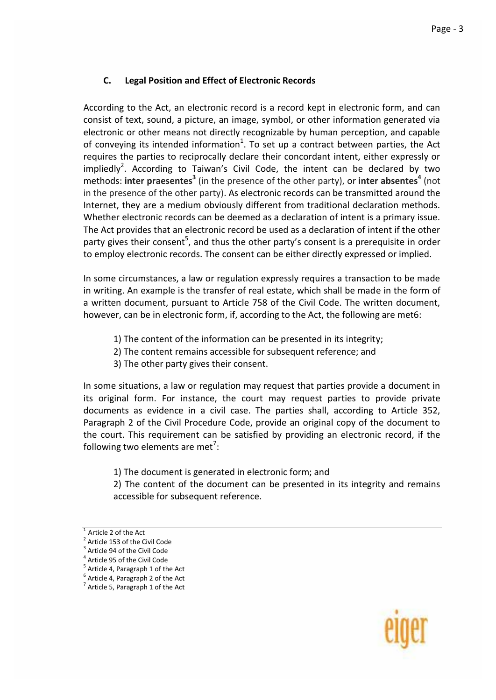## **C. Legal Position and Effect of Electronic Records**

According to the Act, an electronic record is a record kept in electronic form, and can consist of text, sound, a picture, an image, symbol, or other information generated via electronic or other means not directly recognizable by human perception, and capable of conveying its intended information<sup>1</sup>. To set up a contract between parties, the Act requires the parties to reciprocally declare their concordant intent, either expressly or impliedly<sup>2</sup>. According to Taiwan's Civil Code, the intent can be declared by two methods: inter praesentes<sup>3</sup> (in the presence of the other party), or inter absentes<sup>4</sup> (not in the presence of the other party). As electronic records can be transmitted around the Internet, they are a medium obviously different from traditional declaration methods. Whether electronic records can be deemed as a declaration of intent is a primary issue. The Act provides that an electronic record be used as a declaration of intent if the other party gives their consent<sup>5</sup>, and thus the other party's consent is a prerequisite in order to employ electronic records. The consent can be either directly expressed or implied.

In some circumstances, a law or regulation expressly requires a transaction to be made in writing. An example is the transfer of real estate, which shall be made in the form of a written document, pursuant to Article 758 of the Civil Code. The written document, however, can be in electronic form, if, according to the Act, the following are met6:

- 1) The content of the information can be presented in its integrity;
- 2) The content remains accessible for subsequent reference; and
- 3) The other party gives their consent.

In some situations, a law or regulation may request that parties provide a document in its original form. For instance, the court may request parties to provide private documents as evidence in a civil case. The parties shall, according to Article 352, Paragraph 2 of the Civil Procedure Code, provide an original copy of the document to the court. This requirement can be satisfied by providing an electronic record, if the following two elements are met<sup>7</sup>:

1) The document is generated in electronic form; and

2) The content of the document can be presented in its integrity and remains accessible for subsequent reference.



Article 2 of the Act

<sup>&</sup>lt;sup>2</sup> Article 153 of the Civil Code 3

Article 94 of the Civil Code

<sup>&</sup>lt;sup>4</sup> Article 95 of the Civil Code

<sup>&</sup>lt;sup>5</sup> Article 4, Paragraph 1 of the Act

<sup>&</sup>lt;sup>6</sup> Article 4, Paragraph 2 of the Act  $<sup>7</sup>$  Article 5, Paragraph 1 of the Act</sup>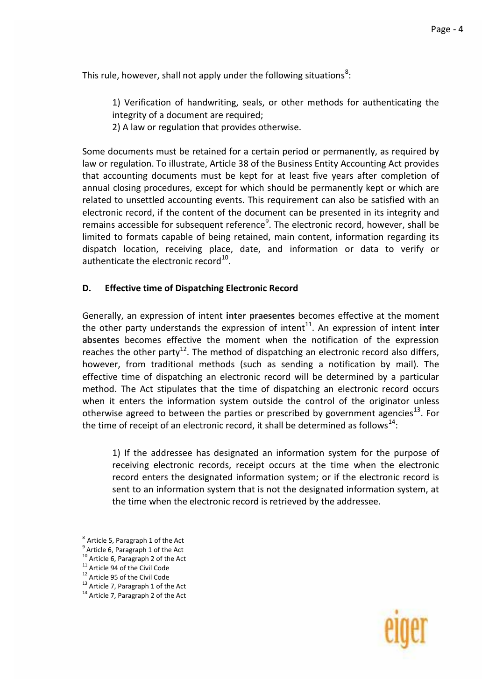This rule, however, shall not apply under the following situations<sup>8</sup>:

1) Verification of handwriting, seals, or other methods for authenticating the integrity of a document are required;

2) A law or regulation that provides otherwise.

Some documents must be retained for a certain period or permanently, as required by law or regulation. To illustrate, Article 38 of the Business Entity Accounting Act provides that accounting documents must be kept for at least five years after completion of annual closing procedures, except for which should be permanently kept or which are related to unsettled accounting events. This requirement can also be satisfied with an electronic record, if the content of the document can be presented in its integrity and remains accessible for subsequent reference<sup>9</sup>. The electronic record, however, shall be limited to formats capable of being retained, main content, information regarding its dispatch location, receiving place, date, and information or data to verify or authenticate the electronic record $^{10}$ .

## **D. Effective time of Dispatching Electronic Record**

Generally, an expression of intent **inter praesentes** becomes effective at the moment the other party understands the expression of intent<sup>11</sup>. An expression of intent inter **absentes** becomes effective the moment when the notification of the expression reaches the other party<sup>12</sup>. The method of dispatching an electronic record also differs, however, from traditional methods (such as sending a notification by mail). The effective time of dispatching an electronic record will be determined by a particular method. The Act stipulates that the time of dispatching an electronic record occurs when it enters the information system outside the control of the originator unless otherwise agreed to between the parties or prescribed by government agencies<sup>13</sup>. For the time of receipt of an electronic record, it shall be determined as follows<sup>14</sup>:

1) If the addressee has designated an information system for the purpose of receiving electronic records, receipt occurs at the time when the electronic record enters the designated information system; or if the electronic record is sent to an information system that is not the designated information system, at the time when the electronic record is retrieved by the addressee.



 $8$  Article 5, Paragraph 1 of the Act

<sup>&</sup>lt;sup>9</sup> Article 6, Paragraph 1 of the Act

<sup>10</sup> Article 6, Paragraph 2 of the Act <sup>11</sup> Article 94 of the Civil Code

<sup>&</sup>lt;sup>12</sup> Article 95 of the Civil Code

<sup>&</sup>lt;sup>13</sup> Article 7, Paragraph 1 of the Act

<sup>&</sup>lt;sup>14</sup> Article 7, Paragraph 2 of the Act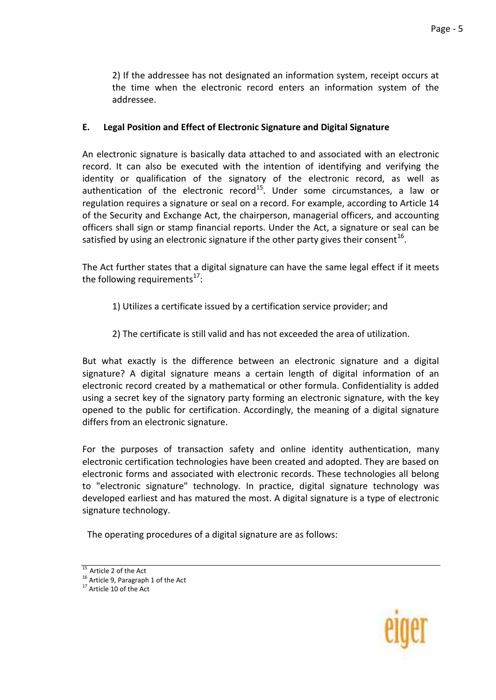2) If the addressee has not designated an information system, receipt occurs at the time when the electronic record enters an information system of the addressee.

## **E. Legal Position and Effect of Electronic Signature and Digital Signature**

An electronic signature is basically data attached to and associated with an electronic record. It can also be executed with the intention of identifying and verifying the identity or qualification of the signatory of the electronic record, as well as authentication of the electronic record<sup>15</sup>. Under some circumstances, a law or regulation requires a signature or seal on a record. For example, according to Article 14 of the Security and Exchange Act, the chairperson, managerial officers, and accounting officers shall sign or stamp financial reports. Under the Act, a signature or seal can be satisfied by using an electronic signature if the other party gives their consent  $^{16}$ .

The Act further states that a digital signature can have the same legal effect if it meets the following requirements $^{17}$ :

- 1) Utilizes a certificate issued by a certification service provider; and
- 2) The certificate is still valid and has not exceeded the area of utilization.

But what exactly is the difference between an electronic signature and a digital signature? A digital signature means a certain length of digital information of an electronic record created by a mathematical or other formula. Confidentiality is added using a secret key of the signatory party forming an electronic signature, with the key opened to the public for certification. Accordingly, the meaning of a digital signature differs from an electronic signature.

For the purposes of transaction safety and online identity authentication, many electronic certification technologies have been created and adopted. They are based on electronic forms and associated with electronic records. These technologies all belong to "electronic signature" technology. In practice, digital signature technology was developed earliest and has matured the most. A digital signature is a type of electronic signature technology.

The operating procedures of a digital signature are as follows:



 $\overline{15}$  Article 2 of the Act

<sup>&</sup>lt;sup>16</sup> Article 9, Paragraph 1 of the Act

 $17$  Article 10 of the Act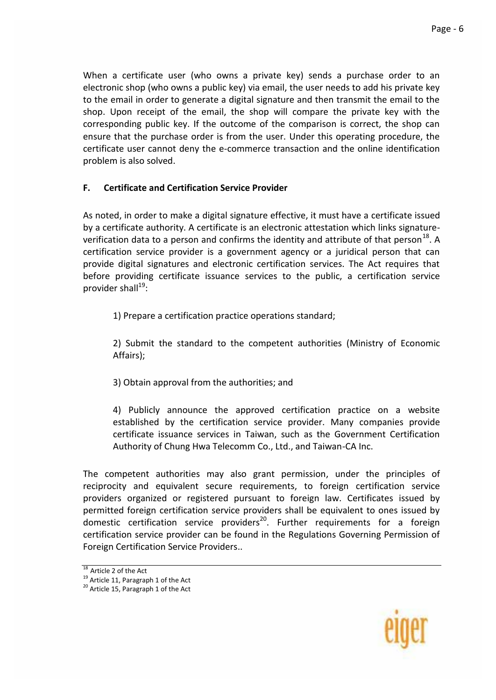When a certificate user (who owns a private key) sends a purchase order to an electronic shop (who owns a public key) via email, the user needs to add his private key to the email in order to generate a digital signature and then transmit the email to the shop. Upon receipt of the email, the shop will compare the private key with the corresponding public key. If the outcome of the comparison is correct, the shop can ensure that the purchase order is from the user. Under this operating procedure, the certificate user cannot deny the e-commerce transaction and the online identification problem is also solved.

## **F. Certificate and Certification Service Provider**

As noted, in order to make a digital signature effective, it must have a certificate issued by a certificate authority. A certificate is an electronic attestation which links signatureverification data to a person and confirms the identity and attribute of that person<sup>18</sup>. A certification service provider is a government agency or a juridical person that can provide digital signatures and electronic certification services. The Act requires that before providing certificate issuance services to the public, a certification service provider shall<sup>19</sup>:

1) Prepare a certification practice operations standard;

2) Submit the standard to the competent authorities (Ministry of Economic Affairs);

3) Obtain approval from the authorities; and

4) Publicly announce the approved certification practice on a website established by the certification service provider. Many companies provide certificate issuance services in Taiwan, such as the Government Certification Authority of Chung Hwa Telecomm Co., Ltd., and Taiwan-CA Inc.

The competent authorities may also grant permission, under the principles of reciprocity and equivalent secure requirements, to foreign certification service providers organized or registered pursuant to foreign law. Certificates issued by permitted foreign certification service providers shall be equivalent to ones issued by domestic certification service providers<sup>20</sup>. Further requirements for a foreign certification service provider can be found in the Regulations Governing Permission of Foreign Certification Service Providers..



 $\overline{18}$  Article 2 of the Act

<sup>&</sup>lt;sup>19</sup> Article 11, Paragraph 1 of the Act

<sup>20</sup> Article 15, Paragraph 1 of the Act